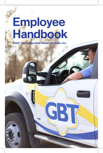# Employee Handbook

2022 | The Golden Belt Telephone Assn., Inc.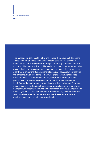Pg. 2

This handbook is designed to outline and explain The Golden Belt Telephone Association, Inc.'s ("Association") practices and policies. This employee handbook should be regarded as a set of guidelines only. This handbook is not a contract. Neither the policies in this handbook, nor any other written or verbal communication by a company manager or supervisor are intended to create a contract of employment or a warranty of benefits. The Association reserves the right to revise, add, or delete or otherwise change without prior notice if it is determined to be in our best interest, except the at-will employment policy. The Association will endeavor to communicate any changes in a timely fashion, typically in a written supplement to the handbook or Employee communication. This handbook supersedes and replaces all prior employee handbooks, policies or procedures, written or verbal. If you have any questions about any of the policies or procedures in this handbook, please consult with your immediate supervisor, or general manager. Please understand that no employee handbook can address every situation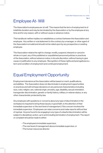### Employee At- Will

The Association's employees are 'at-will'. This means that the term of employment is of indefinite duration and may be terminated by the Association or by the employee at any time and for any reason, with or without cause or advance notice.

This handbook neither implies nor establishes a contract between the Association and employee. Any written or oral statement to the contrary by a manager, or other agent of the Association is invalid and should not be relied upon by any prospective or existing employee.

The Association retains the right to change, modify, suspend, interpret or cancel in whole or in part, any of the published or unpublished personnel policies or practices of the Association, without advance notice, in its sole discretion, without having to give cause or justification to any employee. Recognition of these rights and prerogatives is a term and condition of employment and continued employment.

#### Equal Employment Opportunity

Employment decisions at the Association will be based on merit, qualifications, and abilities. The Association does not discriminate in employment opportunities or practices and will not base decisions on any personal characteristics including race, color, religion, sex, national origin, ancestry, age, disability, sexual orientation, transgender discrimination, genetic or family history, military or veteran status, or any other characteristic protected by law.

Any employee with questions or concerns about any type of discrimination in the workplace is required to bring these issues, in good faith, to the attention of their immediate supervisor or the next level of management, if the concern involves the immediate supervisor. Employees can raise concerns and make reports without fear of reprisal. Anyone found to be engaging in any type of unlawful discrimination will be subject to disciplinary action, up to and including termination of employment. The report or complaint should be made to either:

- The employee's immediate supervisor,
- The next level of management above immediate supervisor, or
- The human resources director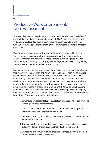GBT Employee Handbook

Pg. 4

#### Productive Work Environment/ Non-Harassment

 The Association is committed to promoting a productive environment that is free of unlawful discrimination and unlawful harassment. The Association will not tolerate verbal or physical conduct by an employee that harasses, disrupts, or interferes with another's work performance or that creates an intimidating, offensive or hostile environment.

Employees are expected to maintain a productive work environment that is free from harassing or disruptive activity. The Association will not tolerate any form of harassment including harassment based on the following categories: gender/ transgender, race, ethnicity, age, religion, national origin, pregnancy, disability, military status, or sexual orientation, genetic or family history.

Each supervisor, manager, and employee have a responsibility to keep the workplace free of any form of harassment, and in particular, sexual harassment. As an example, sexual harassment (both overt and subtle) is a form of employee misconduct that is demeaning to another person and undermines the integrity of the employment relationship. No supervisor or manager is to threaten or insinuate, either explicitly or implicitly, that an employee's refusal or willingness to submit to sexual advances will affect the employee's term of conditions of employment. Other sexually harassing or offensive conduct in the workplace, whether committed by; supervisors, managers, non-supervisory employees, or non-employees (e.g., contractor, vendor, customer, etc.) is prohibited. This conduct includes but is not limited to:

- 1. Unwanted physical contact or conduct of any kind, including sexual flirtations, touching, advances, or propositions;
- 2. Verbal abuse of a sexual nature such as lewd comments, sexual jokes or references, and offensive personal references;
- 3. Demeaning, insulting, intimidating, or sexually aggressive comments about an individual's appearance;
- 4. The display in the workplace of demeaning, insulting, intimidating, or sexually suggestive objects or pictures, including nude photographs; and
- 5. Demeaning, insulting, intimidating, or sexually suggestive written, recorded, or electronically transmitted messages.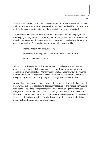Any of the above conduct, or other offensive conduct, directed at individuals because of their gender/transgender, race, national origin, color, religion, disability, pregnancy, age, military status, sexual orientation, genetic or family history is also prohibited.

Any employee, who believes that a supervisor's, manager's, or other employee's or non-employee's (e.g., contractor, vendor, customer, etc.) actions or words constitutes unwelcome harassment, has a responsibility to report or complain about the situation as soon as possible. The report or complaint should be made to either:

- the employee's immediate supervisor,
- the next level of management above the immediate supervisor, or
- the human resources director

All complaints of harassment will be investigated promptly and in a manner that is as impartial and confidential as reasonably possible. Employees are required to cooperate in any investigation. A timely resolution of each complaint will be reached and communicated to the parties involved. Retaliation against any employee for filing a complaint in good faith or participating in an investigation is strictly prohibited.

Any employee, supervisor, or manager who is found to have violated this harassment policy will be subject to appropriate disciplinary action, up to and including immediate termination. The Association prohibits any form of retaliation against employees bringing forth complaints in good faith or providing information about harassment. However, if an investigation of a complaint shows that the complaint or information was false, the individual who provided the false information will be subject to disciplinary action, up to and including immediate termination.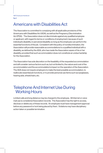GBT Employee Handbook

Pg. 6

#### Americans with Disabilities Act

The Association is committed to complying with all applicable provisions of the Americans with Disabilities Act (ADA), as well as the Pregnancy Discrimination Act (PDA). The Association does not discriminate against any qualified employee or applicant, with regard to terms or conditions of employment, because of such individual's disability or perceived disability so long as the employee can perform the essential functions of the job. Consistent with this policy of nondiscrimination, the Association will provide reasonable accommodations to a qualified individual with a disability, as defined by the ADA, who has made the Association aware of his or her disability, provided that such accommodation does not constitute an undue hardship for the Association.

The Association has sole discretion on the feasibility of the requested accommodation and will consider various factors such as, but not limited to, the nature and cost of the accommodation and the accommodation's impact on the operation of the Association. The ADA does not require employers to make the best possible accommodation, to reallocate essential job functions, or to provide personal use items such as eyeglasses, hearing aids, wheelchairs, etc.

#### Telephone And Internet Use During Working Hours

Limited calls and long distance may be charged to the employee. All Internet or voice mail use is considered Association records. The Association has the right to access, disclose or delete any of these records. An employee must have management approval before any password or lock being placed by them. Violations may have disciplinary action taken or possible termination.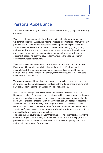#### Personal Appearance

The Association, in seeking to project a professional public image, adopts the following guidelines.

Your personal appearance reflects on the reputation, integrity, and public image of Golden Belt Telephone, Assoc., Inc. All employees are required to report to work neatly groomed and dressed. You are expected to maintain personal hygiene habits that are generally accepted in the community, including clean clothing, good grooming and personal hygiene, and appropriate attire for the workplace and the work being performed. This may include wearing uniforms or protective safety clothing and equipment, depending upon the job. Use common sense and good judgment in determining what to wear to work.

The Association, in accordance with applicable law, will reasonably accommodate Employees with disabilities or religious beliefs that make it difficult for them to comply fully with the personal appearance policy unless doing so would impose an undue hardship on the Association. Contact your immediate supervisor to request a reasonable accommodation.

The Association's outside employees are required to wear blue, black, white or grey shirts and coats that have the Association's logo on them. If a hat or cap is worn it shall have the Association's logo on it and approved by management.

Association office employees have the option of wearing business casual attire. Business casual is defined as dress or casual slacks, shirts, blouses, sweaters, dresses, or skirts or capri; at an appropriate length for an office environment which is below the knee. Shoes should be dress or casual (non-athletic type). Shorts are not acceptable. Jeans and a local team or industry t-shirt are permitted on casual Fridays. Clean jeans (no holes or overly faded jeans allowed) may be worn with shirts, sweatshirts, or sweaters; offensive logos and language are not allowed. Athletic shoes are acceptable on casual Fridays. Shorts are not permitted.

This policy cannot cover every situation that may arise. The supervisor has the right to send an employee home to change into acceptable attire. Failure to comply with the personal appearance & dress code guidelines may result in disciplinary action, up to and including termination of employment.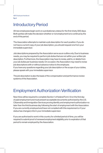#### Introductory Period

All new employees begin work on a probationary status for the first ninety (90) days. Both parties will make the decision whether or not employment is to continue by the end of this period.

The Association attempts to maintain a job description for each position. If you do not have a current copy of your job description, you should request one from your immediate supervisor.

Job descriptions prepared by the Association serve as an outline only. Due to business needs, you may be required to perform job duties that are not within your written job description. Furthermore, the Association may have to revise, add to, or delete from your job duties per business needs. On occasion, the Association may need to revise job descriptions with or without advance notice to the employee. If you have any questions regarding your job description or the scope of your duties, please speak with your immediate supervisor.

The job description is also the basis of the compensation and performance review systems of the Association.

#### Employment Authorization Verification

New hires will be required to complete Section 1 of federal Form I-9 on the first day of paid employment and must present acceptable documents authorized by the U.S. Citizenship and Immigration Services proving identity and employment authorization no later than the third business day following the start of employment with the Association. If you are currently employed and have not complied with this requirement or if your status has changed, inform your immediate supervisor.

If you are authorized to work in this country for a limited period of time, you will be required to submit proof of renewed employment eligibility prior to expiration of that period to remain employed by the Association.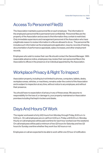#### Access To Personnel File(S)

The Association maintains a personnel file on each employee. The information in the employee's personnel file is permanent and confidential. Personnel files are the property of the Association and access to the information they contain is restricted. Only immediate supervisors and management personnel of the Association who have a legitimate reason to review information in a file are allowed to do so. The personnel file includes such information as the employee's job application, resume, records of training, documentation of performance appraisals, salary increases, and other employment records.

Employees who wish to review their own file should contact the General Manager. With reasonable advance notice, employees may review their own personnel files in the Association's offices in the presence of an individual appointed by the Association.

#### Workplace Privacy & Right To Inspect

Association property, including but not limited to phones, computers, tablets, desks, workplace areas, vehicles, or machinery, remains under the control of the Association and is subject to inspection at any time, without notice to any employee, and without their presence.

You should have no expectation of privacy in any of these areas. We assume no responsibility for the loss of, or damage to, your property maintained on Association premises including that kept in lockers and desks.

#### Days And Hours Of Work

The regular workweek is forty (40) hours from Monday through Friday, 8:00 a.m. to 5:00 p.m. On call employees are on call from 5:00 p.m. Friday until 8:00 a.m. Monday. Hourly on call employees will be paid overtime for each hour worked over the weekend. On call employees will be paid a minimum of two (2) hours for Saturday and two (2) hours for Sunday overtime whether they work four (4) hours or not.

Employees on call are expected to be able to work within one (1) hour of notification.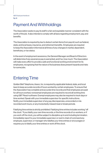#### Payment And Withholdings

The Association seeks to pay its staff in a fair and equitable manner consistent with the worth of the job. It also intends to comply with all laws regarding employment, pay, and benefits.

The Association is required by law to deduct certain items from payroll, such as federal, state, and local taxes, insurance, and retirement benefits. Employees are required to keep the Association informed at all times of any changes in marital, dependent, beneficiary, or tax status.

In the event of employment severance, the General Manager and Board of Directors will determine if any severance pay is warranted, and if so, how much. The Association will make every effort to provide a safe and functional working environment for its employees, recognizing that the nature of its business does present hazards and risks for some jobs.

#### Entering Time

Golden Belt Telephone, Assoc. Inc. is required by applicable federal, state, and local laws to keep accurate records of hours worked by certain employees. To ensure that the Association has complete and accurate time records and that employees are paid for all hours worked, nonexempt employees are required to record all working time using GBT Reach software. Exempt employees may also be required to track days or time worked. Speak with your immediate supervisor for specific instructions. Notify your immediate supervisor of any pay discrepancies, unrecorded or mis recorded work hours, or any involuntarily missed meal or break periods.

Falsifying time entries is strictly prohibited. Falsifying time entries includes working "off the clock." If you falsify your own time records, or the time records of co-workers, or if you work off the clock, you will be subject to discipline up to and including termination. Immediately report to your immediate supervisor or next in chain of command any employee, supervisor, or manager who falsifies your time entries or encourages or requires you to falsify your time entries or work off the clock.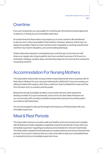#### **Overtime**

If you are nonexempt, you may qualify for overtime pay. All overtime must be approved in advance, in writing, by your immediate supervisor.

At certain times the Association may require you to work overtime. We will attempt to give as much notice as possible in this instance. However, advance notice may not always be possible. Failure to work overtime when requested or working unauthorized overtime may result in discipline, up to and including discharge.

Unless otherwise required or exempted by law, overtime pay of one and one-half times your regular rate of pay is paid for any hours worked in excess of 40 hours in a workweek. Holidays, vacation days, and sick leave days do not count as time worked for computing overtime.

#### Accommodation For Nursing Mothers

The Association will provide nursing mothers reasonable break time to express milk for their infant child(ren) for up to one year following the child's birth. If you are nursing, you will be provided with a space, other than a restroom, that is shielded from view and free from intrusion from co-workers and the public.

Break time should, if possible, be taken concurrently with any other break time already provided. If you are nonexempt, clock out for any time taken that does not run concurrently with normally scheduled rest periods, and such time will be paid in accordance with federal law.

You are encouraged to discuss the length and frequency of these breaks with your immediate supervisor

#### Meal & Rest Periods

The Association strives to provide a safe and healthy work environment and complies with all federal and state regulations regarding meal and rest periods. Check with your immediate supervisor regarding procedures and schedules for rest and meal breaks. The Association requests that Employees accurately observe and record meal and rest periods. If you know in advance that you may not be able to take your scheduled break or meal period, let your immediate supervisor know.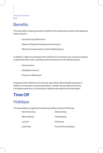## **Benefits**

The Association makes payments on behalf of its employees to government agencies that provide for:

- Social Security Retirement
- State and Federal Unemployment Insurance
- Worker's Compensation for Work-Related Injury

In addition, it offers to employees with 1,000 hours of work per year, insurance policies or plans that either fully or partially protects the person in the following areas:

- Life insurance
- Disability insurance
- Pension or Retirement

Employees with 1,800 hours of work per year will be offered Health insurance in addition to the policies or plans listed above. Details may be obtained from the immediate supervisor, or the policies or literature provided to the Association.

#### Time Off

#### Holidays:

The Association recognizes the following holidays as time off with pay:

- New Year's Day - Veteran's Day
- Memorial Day - Thanksgiving
- July 4th - Christmas
- Labor Day - Four (4) Personal Days
-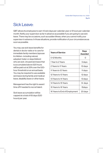#### Sick Leave:

GBT allows its employees to earn 12 sick days per calendar year or 8 hours per calendar month. Notify your supervisor as far in advance as possible if you are going to use sick leave. There may be occasions, such as sudden illness, when you cannot notify your supervisor in advance. In those situations, provide notification of your circumstances as soon as possible.

You may use sick leave benefits for dental or doctor visits or to care for immediate family members (spouse & children- including natural, adopted, foster or stepchildren) who are sick. Unused sick leave that is accumulated above 520 hours will be paid out at 25% over the 520 hour threshold on an annual basis. You may be required to use available sick leave during family and medical leave, disability leave or other leave.

Management has the right to award time off if needed to recruit talent.

Sick leave accumulation will be capped at a total of 65 days (520 hours) per year.

| <b>Years of Service</b>       | <b>Days</b><br>Awarded |
|-------------------------------|------------------------|
| 0-12 Months                   |                        |
| 1 Year to 2 Years             | 5 days                 |
| 2 Years to 11 Years           | 10 days                |
| 11 Years to 12 Years          | 11 days                |
| 12 Years to 13 Years          | 12 days                |
| 13 Years to 14 Years          | 13 days                |
| 14 Years to 15 Years          | 14 days                |
| 15 Years to 16 Years          | 15days                 |
| 16 Years to End of Employment | 20 days                |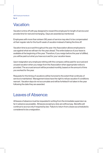### Vacation:

Vacation is time off with pay designed to reward the employee for length of service and provide time for rest and recharging. Days are awarded as mentioned:

Employees with more than sixteen (16) years of service may elect to be compensated at their regular rate for the fourth week of vacation instead of taking the time off.

Vacation time is accrued throughout the year: the Association allows employees to use against what we will earn for the year ahead. The entire balance of your leave is available at the beginning of the year. Therefore, if you resign before the year is fulfilled, you will be paid out what you have accrued for your vacation leave.

Upon resignation any employee retiring with the company will be paid for accrued and unused vacation when you resign from the Association when appropriate notice is provided. The accrued amount will be prorated monthly, based on the amount of time you worked for the year.

Requests for the timing of vacations will be honored to the extent that continuity of service is maintained. Management does have the right to refuse vacation if conditions warrant. Vacation days do not accumulate and will be forfeited if not taken in the year following the date they are awarded.

#### Leaves of Absence:

All leaves of absence must be requested in writing from the immediate supervisor as far in advance as possible. All leaves except jury duty are without pay. Benefits will continue to accrue only if required by law. Failure to return from a leave as scheduled is considered to be a resignation.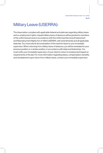### Military Leave (USERRA):

The Association complies with applicable federal and state law regarding military leave and re-employment rights. Unpaid military leave of absence will be granted to members of the uniformed services in accordance with the Uniformed Services Employment and Reemployment Rights Act of 1994 (USERRA; with amendments) and all applicable state law. You must submit documentation of the need for leave to your immediate supervisor. When returning from military leave of absence, you will be reinstated to your previous position or a similar position, in accordance with state and federal law. You must notify your immediate supervisor of your intent to return to employment based on requirements of the law. For more information regarding status, compensation, benefits, and reinstatement upon return from military leave, contact your immediate supervisor.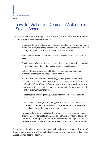#### Pg. 16

#### Leave for Victims of Domestic Violence or Sexual Assault:

The Association will provide Employees who are victims of domestic violence or sexual assault up to eight days of leave per year to:

- Obtain or attempt to obtain any relief, including, but not limited to, a temporary restraining order, restraining order, or other injunctive relief to help ensure the health, safety, or welfare of the victim or the victim's children.
- Seek medical attention for injuries caused by domestic violence or sexual assault.
- Obtain services from a domestic violence shelter, domestic violence program, or rape crisis center due to domestic violence or sexual assault.
- Settle matters, including, but not limited to, court appearances in the aftermath of domestic violence or sexual assault.
- In order to obtain leave under this policy, you must provide reasonable advance notice of your intention to take leave, unless such advance notice is not feasible. Within 48 hours after returning from the requested time off, you must provide documentation to support the necessity for leave. Appropriate forms of documentation include:
- A police report indicating that you were a victim of domestic violence or sexual assault.
- A court order protecting or separating you from the perpetrator of an act of domestic violence or sexual assault, or other evidence from the court or prosecuting attorney that you have appeared in court.
- Documentation from a medical professional, domestic violence advocate, or advocate for victims of sexual assault, health care provider, or counselor that you were undergoing treatment for physical or mental injuries or abuse resulting in victimization from an act of domestic violence or sexual assault.

If an unscheduled absence occurs, the Association will not act against you if, within 48 hours after the beginning of the unscheduled absence, you provide certification to the Association as described above.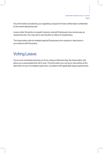Any information provided by you regarding a request for leave will be kept confidential to the extent allowed by law.

Leave under this policy is unpaid; however, exempt Employees may receive pay as required by law. You may opt to use Vacation in place of unpaid leave.

The Association will not retaliate against Employees who request or take leave in accordance with this policy.

#### Voting Leave:

If your work schedule prevents you from voting on Election Day, the Association will allow you a reasonable time off to vote. The time when you can go to vote will be at the discretion of your immediate supervisor, consistent with applicable legal requirements.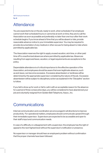#### **Attendance**

You are expected to be on the job, ready to work, when scheduled. If an employee cannot work their scheduled hours or cannot be at work on time, they are to call the Association as soon as possible and preferably no later than one hour after their work schedule begins. If you know ahead of time that you will be absent or late, provide reasonable advance notice to your immediate supervisor. You may be required to provide documentation of any medical or other excuse for being absent or late where permitted by applicable law.

The Association reserves the right to apply unused vacation, sick time, or other paid time off to unauthorized absences where permitted by applicable law. Absences resulting from approved leave, vacation, or legal requirements are exceptions to the policy.

Dependable attendance is of critical importance to the effective operation of the Association, and employees should be aware that even legitimate absence, such as sick leave, can become excessive. Excessive absenteeism or tardiness will be determined by the appropriate supervisor considering the nature of the job. Excessive absenteeism will be subject to disciplinary action as explained in the "Discipline" section to follow.

If you fail to show up for work or fail to call in with an acceptable reason for the absence for a period of three consecutive days, you will be considered to have abandoned your job and voluntarily resigned from Golden Belt Telephone, Assoc., Inc.

#### **Communications**

Internal communication and coordination are encouraged in all directions to improve productivity. For operational matters, employees should communicate upward through their immediate supervisor. Supervisors are expected to be accessible and open to their staff's input and communication needs.

In case of a difficulty or a disagreement with a supervisor, the employee has the right of appeal to the next highest level without the supervisor's notification or presence.

No supervisor or manager should hear an employee's problem without confirmation that the proper channels have been followed.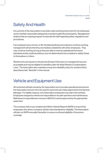#### Safety And Health

It is a priority of the Association to provide a safe working environment for its employees and to maintain reasonable safeguards to protect public life and property. Management shall provide an ongoing program to educate the staff regarding safety regulations and procedures.

If an employee has a chronic or life-threatening illness and wishes to continue working, management will see that they are treated consistently with other employees. They may continue working as long as they are able to meet acceptable performance standards and by medical evidence, are not determined to be a medical or safety threat to themselves or others.

Workers who are injured on the job should report their injury to management as soon as possible and may be eligible for benefits under the State Worker's Compensation Laws. The Association also maintains a long-term disability policy for workers that is described under "Benefits" in this manual.

#### Vehicle and Equipment Use

All motorized vehicles owned by the Association are to provide operational services for the Association and are not to be used for personal use unless approved by the General Manager. For liability reasons, only Association employees may ride in the vehicles. Employees assigned a vehicle are responsible for its safe operation and maintenance. Maintenance expenditures in excess of \$50.00 must be approved by the appropriate supervisor.

The company will run pre-employment Motor Vehicle Reports (MVR) to ensure that employees who drive a company vehicle meet standards for eligibility. The Association will also run MVR's annually thereafter, to ensure continued eligibility of insurance coverage.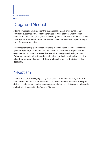GBT Employee Handbook Pg. 20

#### Drugs and Alcohol

All employees are prohibited from the use, possession, sale, or influence of any controlled substance on Association premises or work location. Employees on medication prescribed by a physician must notify their supervisor of its use. In the event that illegal substances are found to be involved, the Association will cooperate fully with law enforcement agencies.

With reasonable suspicion in the above areas, the Association reserves the right to: 1) search a person, their personal effects, lockers, and vehicles; 2) request that the employee submit to medical tests to be determined by approved testing facilities. Failure to cooperate will be treated as serious insubordination and implied guilt. Any related criminal conviction, on or off the job, will result in serious disciplinary action or discharge.

#### **Nepotism**

In order to ensure fairness, objectivity, and lack of interpersonal conflict, no two (2) members of an immediate family may work for the Association. "Immediate family" is defined to include aunts, uncles, nieces, nephews, in-laws and first cousins. Unless prior authorization is passed by the Board of Directors.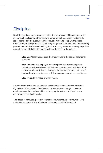#### **Discipline**

-

Disciplinary action may be required to either 1) unintentional inefficiency, or 2) willful misconduct. Inefficiency is the inability to perform a task reasonably related to the job or assigned by the supervisor. Misconduct is refusal to comply with position descriptions, defined policies, or supervisory assignments. In either case, the following procedure should be followed realizing that it is not progressive and that any step of the procedure can be initiated depending on the seriousness of the violation.

- Step One: Coach and counsel the employee as to the desired behavior or outcome.
- Step Two: When an employee cannot improve or will not change their behavior, a written statement will be issued and discussed with them. It will contain a minimum: 1) the problem(s), 2) the desired change or outcome, 3) the deadline for compliance, and 4) the consequences of non-compliance.
- Step Three: Termination of Employment.

Steps Two and Three above cannot be implemented without approval by the next highest level of supervision. The Association also reserves the right to have an employee leave the premises, with or without pay, for further consideration of a disciplinary or terminating action.

This does not exhaust all possibilities of offenses warranting discipline, rather lists action items as a result of unintentional inefficiency or willful misconduct.